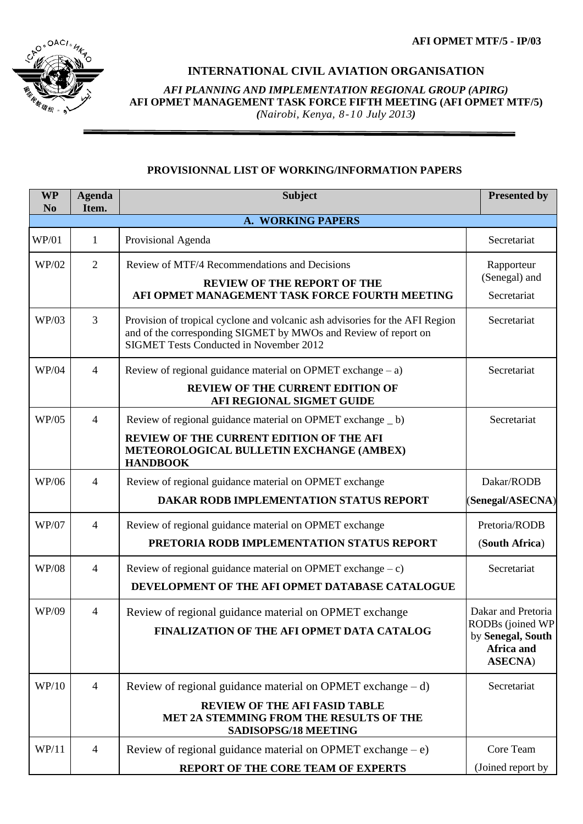

## **INTERNATIONAL CIVIL AVIATION ORGANISATION**

*AFI PLANNING AND IMPLEMENTATION REGIONAL GROUP (APIRG)* **AFI OPMET MANAGEMENT TASK FORCE FIFTH MEETING (AFI OPMET MTF/5)**  *(Nairobi, Kenya, 8-10 July 2013)*

## **PROVISIONNAL LIST OF WORKING/INFORMATION PAPERS**

| <b>WP</b><br>N <sub>0</sub> | <b>Agenda</b><br>Item. | <b>Subject</b>                                                                                                                                                                                    | <b>Presented by</b>                                                                          |  |  |  |
|-----------------------------|------------------------|---------------------------------------------------------------------------------------------------------------------------------------------------------------------------------------------------|----------------------------------------------------------------------------------------------|--|--|--|
| A. WORKING PAPERS           |                        |                                                                                                                                                                                                   |                                                                                              |  |  |  |
| WP/01                       | $\mathbf{1}$           | Provisional Agenda                                                                                                                                                                                | Secretariat                                                                                  |  |  |  |
| WP/02                       | $\overline{2}$         | Review of MTF/4 Recommendations and Decisions<br><b>REVIEW OF THE REPORT OF THE</b><br>AFI OPMET MANAGEMENT TASK FORCE FOURTH MEETING                                                             | Rapporteur<br>(Senegal) and<br>Secretariat                                                   |  |  |  |
| WP/03                       | $\overline{3}$         | Provision of tropical cyclone and volcanic ash advisories for the AFI Region<br>and of the corresponding SIGMET by MWOs and Review of report on<br><b>SIGMET Tests Conducted in November 2012</b> | Secretariat                                                                                  |  |  |  |
| WP/04                       | $\overline{4}$         | Review of regional guidance material on OPMET exchange $- a$ )<br><b>REVIEW OF THE CURRENT EDITION OF</b><br>AFI REGIONAL SIGMET GUIDE                                                            | Secretariat                                                                                  |  |  |  |
| WP/05                       | $\overline{4}$         | Review of regional guidance material on OPMET exchange _ b)<br>REVIEW OF THE CURRENT EDITION OF THE AFI<br>METEOROLOGICAL BULLETIN EXCHANGE (AMBEX)<br><b>HANDBOOK</b>                            | Secretariat                                                                                  |  |  |  |
| WP/06                       | $\overline{4}$         | Review of regional guidance material on OPMET exchange<br>DAKAR RODB IMPLEMENTATION STATUS REPORT                                                                                                 | Dakar/RODB<br>(Senegal/ASECNA)                                                               |  |  |  |
| WP/07                       | $\overline{4}$         | Review of regional guidance material on OPMET exchange<br>PRETORIA RODB IMPLEMENTATION STATUS REPORT                                                                                              | Pretoria/RODB<br>(South Africa)                                                              |  |  |  |
| <b>WP/08</b>                | $\overline{4}$         | Review of regional guidance material on OPMET exchange $-c$ )<br>DEVELOPMENT OF THE AFI OPMET DATABASE CATALOGUE                                                                                  | Secretariat                                                                                  |  |  |  |
| WP/09                       | $\overline{4}$         | Review of regional guidance material on OPMET exchange<br>FINALIZATION OF THE AFI OPMET DATA CATALOG                                                                                              | Dakar and Pretoria<br>RODBs (joined WP<br>by Senegal, South<br>Africa and<br><b>ASECNA</b> ) |  |  |  |
| WP/10                       | $\overline{4}$         | Review of regional guidance material on OPMET exchange $- d$ )<br><b>REVIEW OF THE AFI FASID TABLE</b><br>MET 2A STEMMING FROM THE RESULTS OF THE<br>SADISOPSG/18 MEETING                         | Secretariat                                                                                  |  |  |  |
| WP/11                       | $\overline{4}$         | Review of regional guidance material on OPMET exchange $-e$ )<br>REPORT OF THE CORE TEAM OF EXPERTS                                                                                               | Core Team<br>(Joined report by                                                               |  |  |  |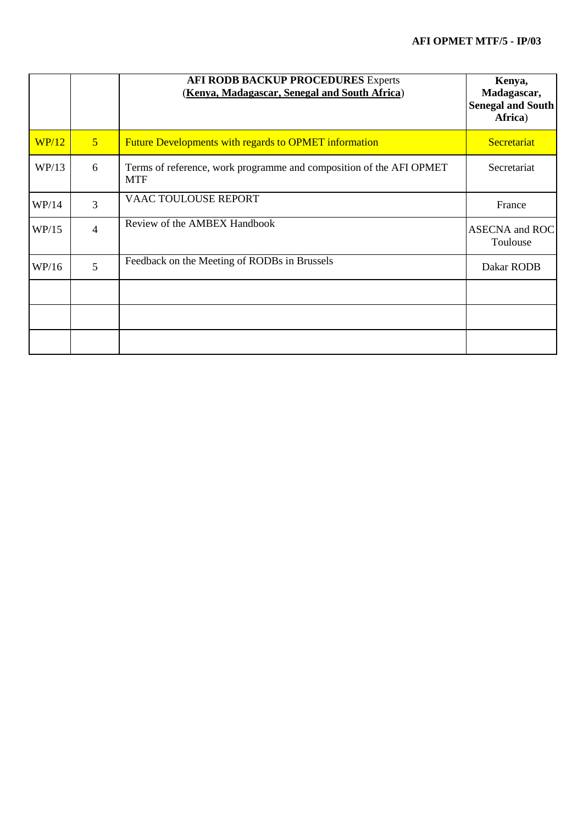|       |                | <b>AFI RODB BACKUP PROCEDURES Experts</b><br>(Kenya, Madagascar, Senegal and South Africa) | Kenya,<br>Madagascar,<br><b>Senegal and South</b><br>Africa) |
|-------|----------------|--------------------------------------------------------------------------------------------|--------------------------------------------------------------|
| WP/12 | 5 <sup>5</sup> | <b>Future Developments with regards to OPMET information</b>                               | Secretariat                                                  |
| WP/13 | 6              | Terms of reference, work programme and composition of the AFI OPMET<br><b>MTF</b>          | Secretariat                                                  |
| WP/14 | 3              | VAAC TOULOUSE REPORT                                                                       | France                                                       |
| WP/15 | $\overline{4}$ | Review of the AMBEX Handbook                                                               | <b>ASECNA</b> and ROC<br>Toulouse                            |
| WP/16 | 5              | Feedback on the Meeting of RODBs in Brussels                                               | Dakar RODB                                                   |
|       |                |                                                                                            |                                                              |
|       |                |                                                                                            |                                                              |
|       |                |                                                                                            |                                                              |